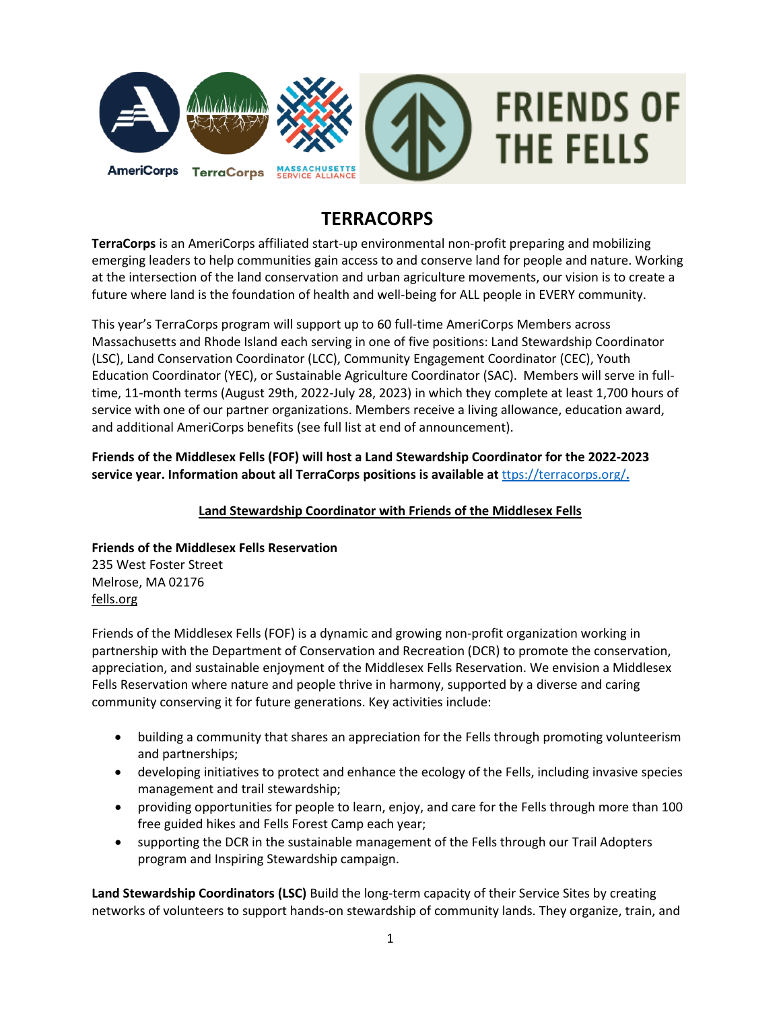

# **TERRACORPS**

**TerraCorps** is an AmeriCorps affiliated start-up environmental non-profit preparing and mobilizing emerging leaders to help communities gain access to and conserve land for people and nature. Working at the intersection of the land conservation and urban agriculture movements, our vision is to create a future where land is the foundation of health and well-being for ALL people in EVERY community.

This year's TerraCorps program will support up to 60 full-time AmeriCorps Members across Massachusetts and Rhode Island each serving in one of five positions: Land Stewardship Coordinator (LSC), Land Conservation Coordinator (LCC), Community Engagement Coordinator (CEC), Youth Education Coordinator (YEC), or Sustainable Agriculture Coordinator (SAC). Members will serve in fulltime, 11-month terms (August 29th, 2022-July 28, 2023) in which they complete at least 1,700 hours of service with one of our partner organizations. Members receive a living allowance, education award, and additional AmeriCorps benefits (see full list at end of announcement).

**Friends of the Middlesex Fells (FOF) will host a Land Stewardship Coordinator for the 2022-2023 service year. Information about all TerraCorps positions is available at** [ttps://terracorps.org/](https://terracorps.org/)**.**

# **Land Stewardship Coordinator with Friends of the Middlesex Fells**

**Friends of the Middlesex Fells Reservation** 235 West Foster Street Melrose, MA 02176

[fells.org](http://mountgrace.org/)

Friends of the Middlesex Fells (FOF) is a dynamic and growing non-profit organization working in partnership with the Department of Conservation and Recreation (DCR) to promote the conservation, appreciation, and sustainable enjoyment of the Middlesex Fells Reservation. We envision a Middlesex Fells Reservation where nature and people thrive in harmony, supported by a diverse and caring community conserving it for future generations. Key activities include:

- building a community that shares an appreciation for the Fells through promoting volunteerism and partnerships;
- developing initiatives to protect and enhance the ecology of the Fells, including invasive species management and trail stewardship;
- providing opportunities for people to learn, enjoy, and care for the Fells through more than 100 free guided hikes and Fells Forest Camp each year;
- supporting the DCR in the sustainable management of the Fells through our Trail Adopters program and Inspiring Stewardship campaign.

**Land Stewardship Coordinators (LSC)** Build the long-term capacity of their Service Sites by creating networks of volunteers to support hands-on stewardship of community lands. They organize, train, and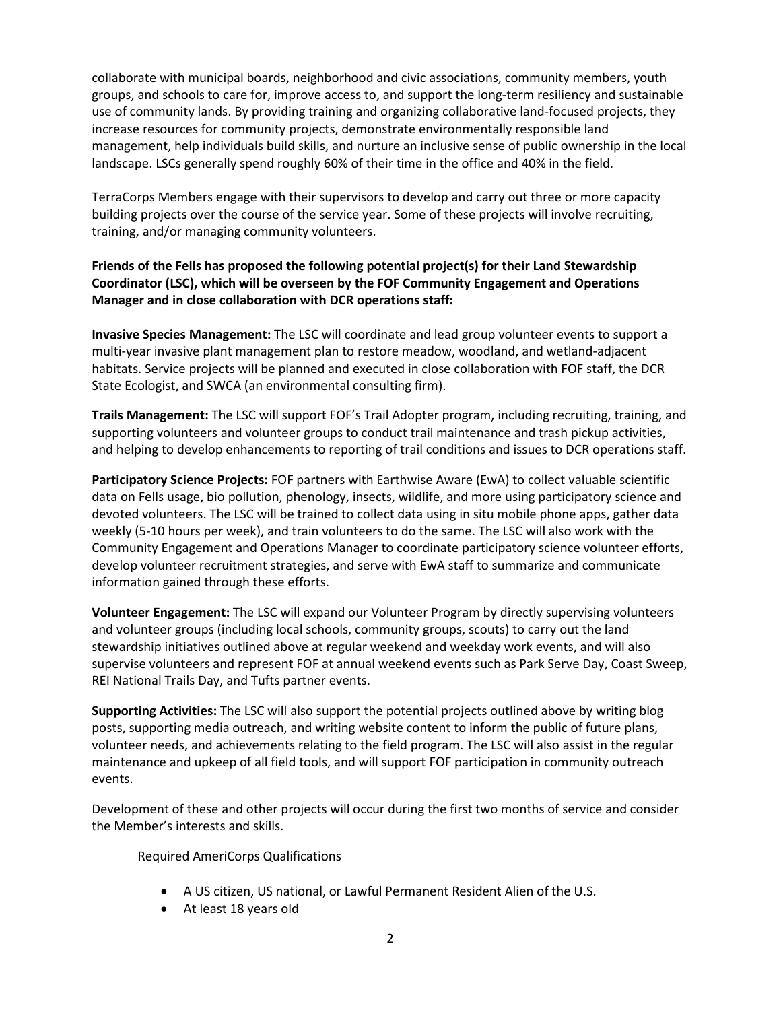collaborate with municipal boards, neighborhood and civic associations, community members, youth groups, and schools to care for, improve access to, and support the long-term resiliency and sustainable use of community lands. By providing training and organizing collaborative land-focused projects, they increase resources for community projects, demonstrate environmentally responsible land management, help individuals build skills, and nurture an inclusive sense of public ownership in the local landscape. LSCs generally spend roughly 60% of their time in the office and 40% in the field.

TerraCorps Members engage with their supervisors to develop and carry out three or more capacity building projects over the course of the service year. Some of these projects will involve recruiting, training, and/or managing community volunteers.

# **Friends of the Fells has proposed the following potential project(s) for their Land Stewardship Coordinator (LSC), which will be overseen by the FOF Community Engagement and Operations Manager and in close collaboration with DCR operations staff:**

**Invasive Species Management:** The LSC will coordinate and lead group volunteer events to support a multi-year invasive plant management plan to restore meadow, woodland, and wetland-adjacent habitats. Service projects will be planned and executed in close collaboration with FOF staff, the DCR State Ecologist, and SWCA (an environmental consulting firm).

**Trails Management:** The LSC will support FOF's Trail Adopter program, including recruiting, training, and supporting volunteers and volunteer groups to conduct trail maintenance and trash pickup activities, and helping to develop enhancements to reporting of trail conditions and issues to DCR operations staff.

**Participatory Science Projects:** FOF partners with Earthwise Aware (EwA) to collect valuable scientific data on Fells usage, bio pollution, phenology, insects, wildlife, and more using participatory science and devoted volunteers. The LSC will be trained to collect data using in situ mobile phone apps, gather data weekly (5-10 hours per week), and train volunteers to do the same. The LSC will also work with the Community Engagement and Operations Manager to coordinate participatory science volunteer efforts, develop volunteer recruitment strategies, and serve with EwA staff to summarize and communicate information gained through these efforts.

**Volunteer Engagement:** The LSC will expand our Volunteer Program by directly supervising volunteers and volunteer groups (including local schools, community groups, scouts) to carry out the land stewardship initiatives outlined above at regular weekend and weekday work events, and will also supervise volunteers and represent FOF at annual weekend events such as Park Serve Day, Coast Sweep, REI National Trails Day, and Tufts partner events.

**Supporting Activities:** The LSC will also support the potential projects outlined above by writing blog posts, supporting media outreach, and writing website content to inform the public of future plans, volunteer needs, and achievements relating to the field program. The LSC will also assist in the regular maintenance and upkeep of all field tools, and will support FOF participation in community outreach events.

Development of these and other projects will occur during the first two months of service and consider the Member's interests and skills.

# Required AmeriCorps Qualifications

- A US citizen, US national, or Lawful Permanent Resident Alien of the U.S.
- At least 18 years old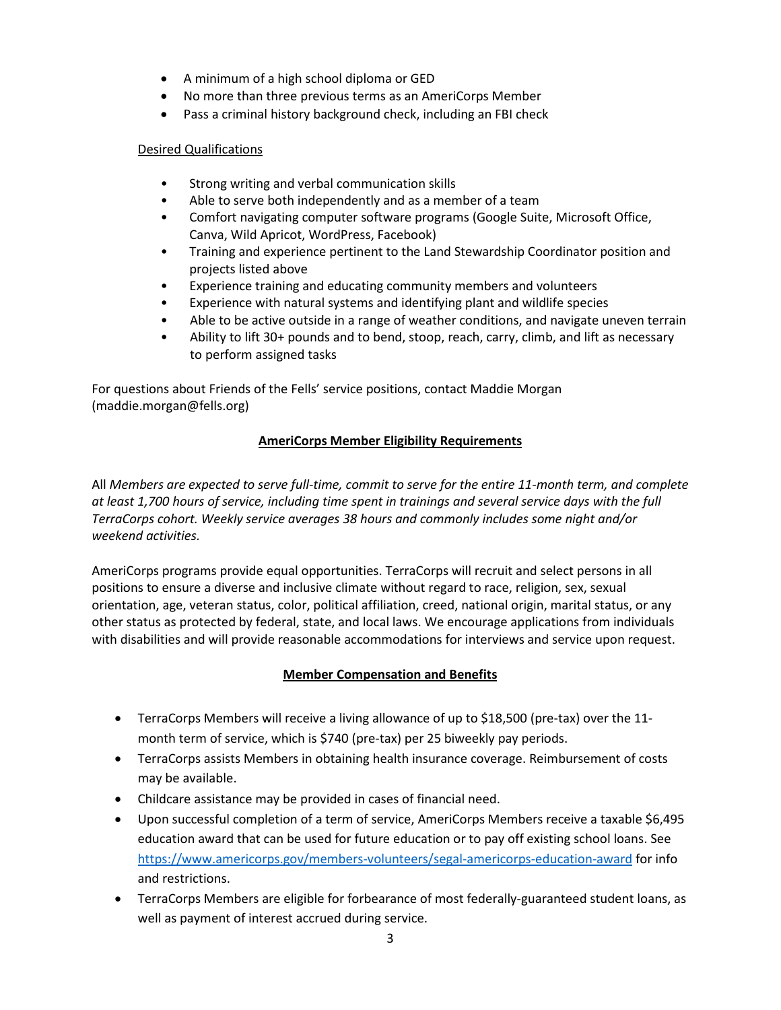- A minimum of a high school diploma or GED
- No more than three previous terms as an AmeriCorps Member
- Pass a criminal history background check, including an FBI check

## Desired Qualifications

- Strong writing and verbal communication skills
- Able to serve both independently and as a member of a team
- Comfort navigating computer software programs (Google Suite, Microsoft Office, Canva, Wild Apricot, WordPress, Facebook)
- Training and experience pertinent to the Land Stewardship Coordinator position and projects listed above
- Experience training and educating community members and volunteers
- Experience with natural systems and identifying plant and wildlife species
- Able to be active outside in a range of weather conditions, and navigate uneven terrain
- Ability to lift 30+ pounds and to bend, stoop, reach, carry, climb, and lift as necessary to perform assigned tasks

For questions about Friends of the Fells' service positions, contact Maddie Morgan (maddie.morgan@fells.org)

# **AmeriCorps Member Eligibility Requirements**

All *Members are expected to serve full-time, commit to serve for the entire 11-month term, and complete at least 1,700 hours of service, including time spent in trainings and several service days with the full TerraCorps cohort. Weekly service averages 38 hours and commonly includes some night and/or weekend activities.*

AmeriCorps programs provide equal opportunities. TerraCorps will recruit and select persons in all positions to ensure a diverse and inclusive climate without regard to race, religion, sex, sexual orientation, age, veteran status, color, political affiliation, creed, national origin, marital status, or any other status as protected by federal, state, and local laws. We encourage applications from individuals with disabilities and will provide reasonable accommodations for interviews and service upon request.

# **Member Compensation and Benefits**

- TerraCorps Members will receive a living allowance of up to \$18,500 (pre-tax) over the 11month term of service, which is \$740 (pre-tax) per 25 biweekly pay periods.
- TerraCorps assists Members in obtaining health insurance coverage. Reimbursement of costs may be available.
- Childcare assistance may be provided in cases of financial need.
- Upon successful completion of a term of service, AmeriCorps Members receive a taxable \$6,495 education award that can be used for future education or to pay off existing school loans. See <https://www.americorps.gov/members-volunteers/segal-americorps-education-award> for info and restrictions.
- TerraCorps Members are eligible for forbearance of most federally-guaranteed student loans, as well as payment of interest accrued during service.